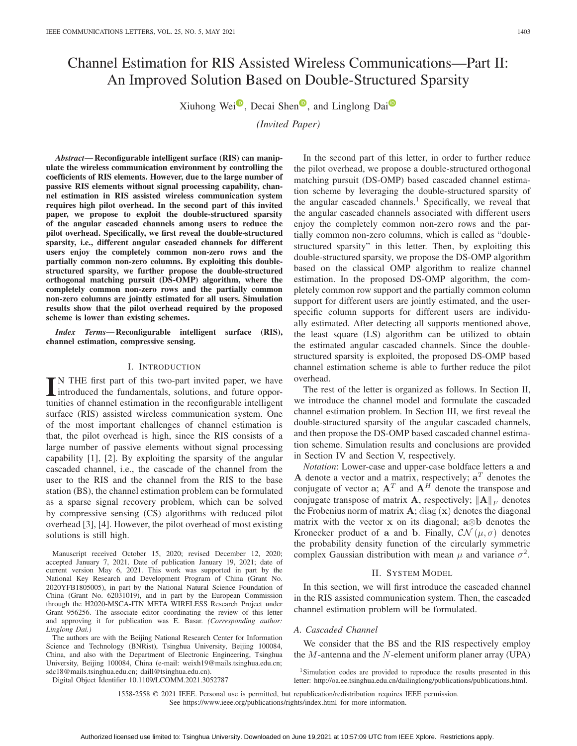# Channel Estimation for RIS Assisted Wireless Communications—Part II: An Improved Solution Based on Double-Structured Sparsity

X[i](https://orcid.org/0000-0002-4250-7315)uho[n](https://orcid.org/0000-0002-3813-5096)g Wei $\overline{\bullet}$ , Decai Shen $\overline{\bullet}$ , and Linglong Dai $\overline{\bullet}$ 

*(Invited Paper)*

*Abstract***— Reconfigurable intelligent surface (RIS) can manipulate the wireless communication environment by controlling the coefficients of RIS elements. However, due to the large number of passive RIS elements without signal processing capability, channel estimation in RIS assisted wireless communication system requires high pilot overhead. In the second part of this invited paper, we propose to exploit the double-structured sparsity of the angular cascaded channels among users to reduce the pilot overhead. Specifically, we first reveal the double-structured sparsity, i.e., different angular cascaded channels for different users enjoy the completely common non-zero rows and the partially common non-zero columns. By exploiting this doublestructured sparsity, we further propose the double-structured orthogonal matching pursuit (DS-OMP) algorithm, where the completely common non-zero rows and the partially common non-zero columns are jointly estimated for all users. Simulation results show that the pilot overhead required by the proposed scheme is lower than existing schemes.**

*Index Terms***— Reconfigurable intelligent surface (RIS), channel estimation, compressive sensing.**

#### I. INTRODUCTION

IN THE first part of this two-part invited paper, we have<br>introduced the fundamentals, solutions, and future oppor-N THE first part of this two-part invited paper, we have tunities of channel estimation in the reconfigurable intelligent surface (RIS) assisted wireless communication system. One of the most important challenges of channel estimation is that, the pilot overhead is high, since the RIS consists of a large number of passive elements without signal processing capability [1], [2]. By exploiting the sparsity of the angular cascaded channel, i.e., the cascade of the channel from the user to the RIS and the channel from the RIS to the base station (BS), the channel estimation problem can be formulated as a sparse signal recovery problem, which can be solved by compressive sensing (CS) algorithms with reduced pilot overhead [3], [4]. However, the pilot overhead of most existing solutions is still high.

Manuscript received October 15, 2020; revised December 12, 2020; accepted January 7, 2021. Date of publication January 19, 2021; date of current version May 6, 2021. This work was supported in part by the National Key Research and Development Program of China (Grant No. 2020YFB1805005), in part by the National Natural Science Foundation of China (Grant No. 62031019), and in part by the European Commission through the H2020-MSCA-ITN META WIRELESS Research Project under Grant 956256. The associate editor coordinating the review of this letter and approving it for publication was E. Basar. *(Corresponding author: Linglong Dai.)*

The authors are with the Beijing National Research Center for Information Science and Technology (BNRist), Tsinghua University, Beijing 100084, China, and also with the Department of Electronic Engineering, Tsinghua University, Beijing 100084, China (e-mail: weixh19@mails.tsinghua.edu.cn; sdc18@mails.tsinghua.edu.cn; daill@tsinghua.edu.cn).

Digital Object Identifier 10.1109/LCOMM.2021.3052787

In the second part of this letter, in order to further reduce the pilot overhead, we propose a double-structured orthogonal matching pursuit (DS-OMP) based cascaded channel estimation scheme by leveraging the double-structured sparsity of the angular cascaded channels.<sup>1</sup> Specifically, we reveal that the angular cascaded channels associated with different users enjoy the completely common non-zero rows and the partially common non-zero columns, which is called as "doublestructured sparsity" in this letter. Then, by exploiting this double-structured sparsity, we propose the DS-OMP algorithm based on the classical OMP algorithm to realize channel estimation. In the proposed DS-OMP algorithm, the completely common row support and the partially common column support for different users are jointly estimated, and the userspecific column supports for different users are individually estimated. After detecting all supports mentioned above, the least square (LS) algorithm can be utilized to obtain the estimated angular cascaded channels. Since the doublestructured sparsity is exploited, the proposed DS-OMP based channel estimation scheme is able to further reduce the pilot overhead.

The rest of the letter is organized as follows. In Section II, we introduce the channel model and formulate the cascaded channel estimation problem. In Section III, we first reveal the double-structured sparsity of the angular cascaded channels, and then propose the DS-OMP based cascaded channel estimation scheme. Simulation results and conclusions are provided in Section IV and Section V, respectively.

*Notation*: Lower-case and upper-case boldface letters **a** and **A** denote a vector and a matrix, respectively;  $a^T$  denotes the conjugate of vector  $\mathbf{a}$ ;  $\mathbf{A}^T$  and  $\mathbf{A}^H$  denote the transpose and conjugate transpose of matrix **A**, respectively;  $||A||_F$  denotes the diagonal the Frobenius norm of matrix  $\mathbf{A}$ ; diag  $(\mathbf{x})$  denotes the diagonal matrix with the vector **x** on its diagonal; **a**⊗**b** denotes the Kronecker product of **a** and **b**. Finally,  $\mathcal{CN}(\mu, \sigma)$  denotes the probability density function of the circularly symmetric complex Gaussian distribution with mean  $\mu$  and variance  $\sigma^2$ .

# II. SYSTEM MODEL

In this section, we will first introduce the cascaded channel in the RIS assisted communication system. Then, the cascaded channel estimation problem will be formulated.

#### *A. Cascaded Channel*

We consider that the BS and the RIS respectively employ the  $M$ -antenna and the  $N$ -element uniform planer array (UPA)

<sup>&</sup>lt;sup>1</sup>Simulation codes are provided to reproduce the results presented in this letter: http://oa.ee.tsinghua.edu.cn/dailinglong/publications/publications.html.

<sup>1558-2558 © 2021</sup> IEEE. Personal use is permitted, but republication/redistribution requires IEEE permission. See https://www.ieee.org/publications/rights/index.html for more information.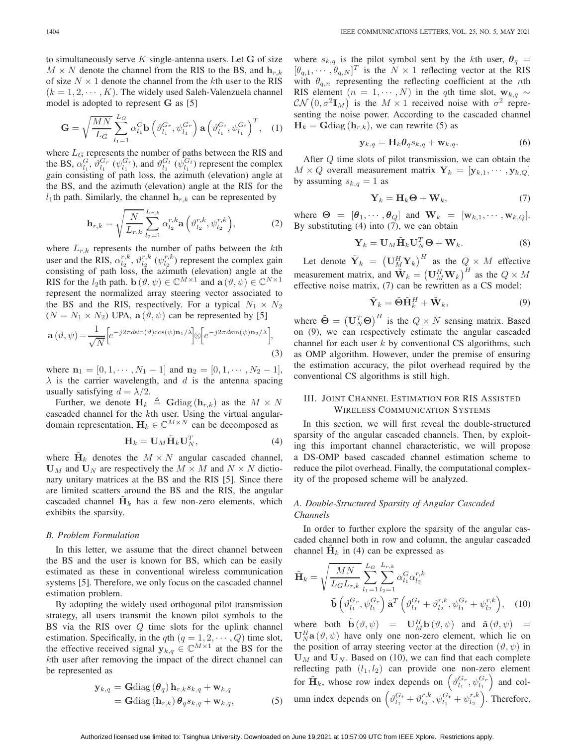to simultaneously serve <sup>K</sup> single-antenna users. Let **G** of size  $M \times N$  denote the channel from the RIS to the BS, and  $\mathbf{h}_{r,k}$ of size  $N \times 1$  denote the channel from the kth user to the RIS  $(k = 1, 2, \dots, K)$ . The widely used Saleh-Valenzuela channel model is adopted to represent **G** as [5]

$$
\mathbf{G} = \sqrt{\frac{MN}{L_G}} \sum_{l_1=1}^{L_G} \alpha_{l_1}^G \mathbf{b} \left( \vartheta_{l_1}^{G_r}, \psi_{l_1}^{G_r} \right) \mathbf{a} \left( \vartheta_{l_1}^{G_t}, \psi_{l_1}^{G_t} \right)^T, \quad (1)
$$

where  $L_G$  represents the number of paths between the RIS and the BS,  $\alpha_{l_1}^G$ ,  $\vartheta_{l_1}^{G_r}$  ( $\psi_{l_1}^{G_r}$ ), and  $\vartheta_{l_1}^{G_t}$  ( $\psi_{l_1}^{G_t}$ ) represent the complex gain consisting of path loss, the azimuth (elevation) angle at the BS, and the azimuth (elevation) angle at the RIS for the  $l_1$ th path. Similarly, the channel  $\mathbf{h}_{r,k}$  can be represented by

$$
\mathbf{h}_{r,k} = \sqrt{\frac{N}{L_{r,k}} \sum_{l_2=1}^{L_{r,k}} \alpha_{l_2}^{r,k} \mathbf{a} \left( \vartheta_{l_2}^{r,k}, \psi_{l_2}^{r,k} \right)},
$$
(2)

where  $L_{r,k}$  represents the number of paths between the kth user and the RIS,  $\alpha_{l_2}^{r,k}$ ,  $\vartheta_{l_2}^{r,k}$  ( $\psi_{l_2}^{r,k}$ ) represent the complex gain consisting of path loss, the azimuth (elevation) angle at the RIS for the *l*<sub>2</sub>th path. **b**  $(\vartheta, \psi) \in \mathbb{C}^{M \times 1}$  and  $\mathbf{a}(\vartheta, \psi) \in \mathbb{C}^{N \times 1}$ represent the normalized array steering vector associated to the BS and the RIS, respectively. For a typical  $N_1 \times N_2$  $(N = N_1 \times N_2)$  UPA,  $\mathbf{a}(\vartheta, \psi)$  can be represented by [5]

$$
\mathbf{a}(\vartheta,\psi) = \frac{1}{\sqrt{N}} \left[ e^{-j2\pi d\sin(\vartheta)\cos(\psi)\mathbf{n}_1/\lambda} \right] \otimes \left[ e^{-j2\pi d\sin(\psi)\mathbf{n}_2/\lambda} \right],\tag{3}
$$

where  $\mathbf{n}_1 = [0, 1, \cdots, N_1 - 1]$  and  $\mathbf{n}_2 = [0, 1, \cdots, N_2 - 1]$ ,  $\lambda$  is the carrier wavelength, and d is the antenna spacing usually satisfying  $d = \lambda/2$ .

Further, we denote  $\mathbf{H}_k \triangleq \mathbf{G} \text{diag}(\mathbf{h}_{r,k})$  as the  $M \times N$ cascaded channel for the kth user. Using the virtual angulardomain representation,  $\mathbf{H}_k \in \mathbb{C}^{M \times N}$  can be decomposed as

$$
\mathbf{H}_k = \mathbf{U}_M \tilde{\mathbf{H}}_k \mathbf{U}_N^T,
$$
\n(4)

where  $H_k$  denotes the  $M \times N$  angular cascaded channel,  $U_M$  and  $U_N$  are respectively the  $M \times M$  and  $N \times N$  dictionary unitary matrices at the BS and the RIS [5]. Since there are limited scatters around the BS and the RIS, the angular cascaded channel  $\mathbf{H}_k$  has a few non-zero elements, which exhibits the sparsity.

### *B. Problem Formulation*

In this letter, we assume that the direct channel between the BS and the user is known for BS, which can be easily estimated as these in conventional wireless communication systems [5]. Therefore, we only focus on the cascaded channel estimation problem.

By adopting the widely used orthogonal pilot transmission strategy, all users transmit the known pilot symbols to the BS via the RIS over Q time slots for the uplink channel estimation. Specifically, in the qth  $(q = 1, 2, \dots, Q)$  time slot, the effective received signal  $y_{k,q} \in \mathbb{C}^{M \times 1}$  at the BS for the kth user after removing the impact of the direct channel can be represented as

$$
\mathbf{y}_{k,q} = \mathbf{G} \text{diag} (\boldsymbol{\theta}_q) \, \mathbf{h}_{r,k} s_{k,q} + \mathbf{w}_{k,q} \n= \mathbf{G} \text{diag} (\mathbf{h}_{r,k}) \, \boldsymbol{\theta}_q s_{k,q} + \mathbf{w}_{k,q},
$$
\n(5)

where  $s_{k,q}$  is the pilot symbol sent by the kth user,  $\theta_q =$  $[\theta_{q,1}, \cdots, \theta_{q,N}]^T$  is the  $N \times 1$  reflecting vector at the RIS with  $\theta_{q,n}$  representing the reflecting coefficient at the *n*th RIS element  $(n = 1, \dots, N)$  in the qth time slot,  $\mathbf{w}_{k,q}$  ~  $\mathcal{CN}\left(0, \sigma^2\mathbf{I}_M\right)$  is the  $M \times 1$  received noise with  $\sigma^2$  representing the poise power. According to the cascaded channel senting the noise power. According to the cascaded channel  $H_k = \text{Gdiag}(\mathbf{h}_{r,k})$ , we can rewrite (5) as

$$
\mathbf{y}_{k,q} = \mathbf{H}_k \boldsymbol{\theta}_q s_{k,q} + \mathbf{w}_{k,q}.
$$
 (6)

After Q time slots of pilot transmission, we can obtain the  $M \times Q$  overall measurement matrix  $\mathbf{Y}_k = [\mathbf{y}_{k,1}, \cdots, \mathbf{y}_{k,Q}]$ by assuming  $s_{k,q} = 1$  as

$$
\mathbf{Y}_k = \mathbf{H}_k \mathbf{\Theta} + \mathbf{W}_k, \tag{7}
$$

where  $\Theta = [\theta_1, \cdots, \theta_Q]$  and  $\mathbf{W}_k = [\mathbf{w}_{k,1}, \cdots, \mathbf{w}_{k,Q}].$ By substituting  $(4)$  into  $(7)$ , we can obtain

$$
\mathbf{Y}_k = \mathbf{U}_M \tilde{\mathbf{H}}_k \mathbf{U}_N^T \mathbf{\Theta} + \mathbf{W}_k. \tag{8}
$$

Let denote  $\tilde{\mathbf{Y}}_k = (\mathbf{U}_M^H \mathbf{Y}_k)^H$  as the  $Q \times M$  effective measurement matrix, and  $\overline{\mathbf{W}}_k = (\mathbf{U}_M^H \mathbf{W}_k)^H$  as the  $Q \times M$ <br>effective noise matrix (7) can be rewritten as a CS model: effective noise matrix, (7) can be rewritten as a CS model:

$$
\tilde{\mathbf{Y}}_k = \tilde{\boldsymbol{\Theta}} \tilde{\mathbf{H}}_k^H + \tilde{\mathbf{W}}_k, \tag{9}
$$

where  $\tilde{\Theta} = (\mathbf{U}_N^T \mathbf{\Theta})^H$  is the  $Q \times N$  sensing matrix. Based<br>on (9) we can respectively estimate the angular cascaded on (9), we can respectively estimate the angular cascaded channel for each user  $k$  by conventional CS algorithms, such as OMP algorithm. However, under the premise of ensuring the estimation accuracy, the pilot overhead required by the conventional CS algorithms is still high.

## III. JOINT CHANNEL ESTIMATION FOR RIS ASSISTED WIRELESS COMMUNICATION SYSTEMS

In this section, we will first reveal the double-structured sparsity of the angular cascaded channels. Then, by exploiting this important channel characteristic, we will propose a DS-OMP based cascaded channel estimation scheme to reduce the pilot overhead. Finally, the computational complexity of the proposed scheme will be analyzed.

# *A. Double-Structured Sparsity of Angular Cascaded Channels*

In order to further explore the sparsity of the angular cascaded channel both in row and column, the angular cascaded channel  $H_k$  in (4) can be expressed as

$$
\tilde{\mathbf{H}}_{k} = \sqrt{\frac{MN}{L_{G}L_{r,k}}}\sum_{l_{1}=1}^{L_{G}}\sum_{l_{2}=1}^{L_{r,k}}\alpha_{l_{1}}^{G}\alpha_{l_{2}}^{r,k}
$$
\n
$$
\tilde{\mathbf{b}}\left(\vartheta_{l_{1}}^{G_{r}},\psi_{l_{1}}^{G_{r}}\right)\tilde{\mathbf{a}}^{T}\left(\vartheta_{l_{1}}^{G_{t}} + \vartheta_{l_{2}}^{r,k},\psi_{l_{1}}^{G_{t}} + \psi_{l_{2}}^{r,k}\right), \quad (10)
$$

where both  $\tilde{\mathbf{b}}(\vartheta, \psi) = \mathbf{U}_M^H \mathbf{b}(\vartheta, \psi)$  and  $\tilde{\mathbf{a}}(\vartheta, \psi) = \mathbf{I}^H \mathbf{B}(\vartheta, \psi)$  have only one non-zero element which lie on  $\mathbf{U}_N^H \mathbf{a}(\vartheta, \psi)$  have only one non-zero element, which lie on<br>the position of array steering vector at the direction ( $\vartheta$ ,  $\psi$ ) in the position of array steering vector at the direction  $(\vartheta, \psi)$  in  $U_M$  and  $U_N$ . Based on (10), we can find that each complete reflecting path  $(l_1, l_2)$  can provide one non-zero element for  $\tilde{H}_k$ , whose row index depends on  $(\vartheta_{l_1}^{G_r}, \psi_{l_1}^{G_r})$  and column index depends on  $(\vartheta_{l_1}^{G_t} + \vartheta_{l_2}^{r,k}, \psi_{l_1}^{G_t} + \psi_{l_2}^{r,k})$ . Therefore,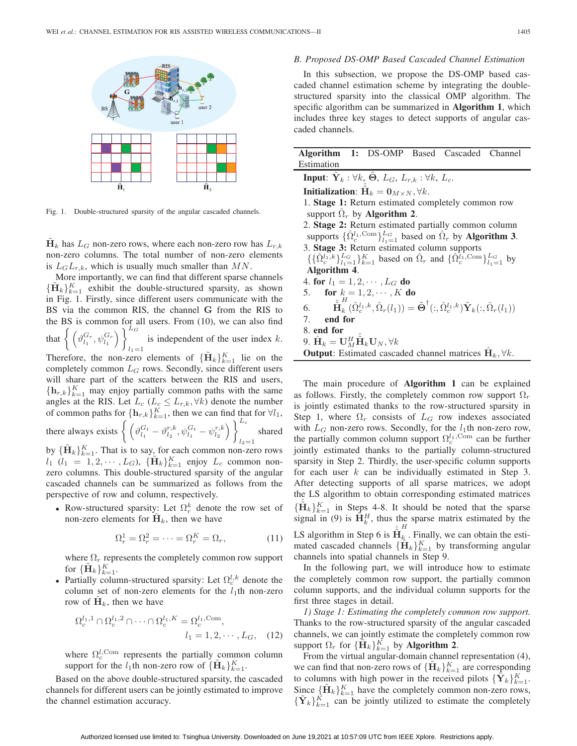

Fig. 1. Double-structured sparsity of the angular cascaded channels.

 $\mathbf{H}_k$  has  $L_G$  non-zero rows, where each non-zero row has  $L_{r,k}$ non-zero columns. The total number of non-zero elements is  $L_G L_{r,k}$ , which is usually much smaller than MN.

More importantly, we can find that different sparse channels  ${\{\tilde{\mathbf{H}}_k\}_{k=1}^K}$  exhibit the double-structured sparsity, as shown<br>in  $\text{Eiv} = 1$  Firstly since different users communicate with the in Fig. 1. Firstly, since different users communicate with the BS via the common RIS, the channel **G** from the RIS to the BS is common for all users. From (10), we can also find that  $\left\{ \left( \vartheta_{l_1}^{G_r}, \psi_{l_1}^{G_r} \right) \right\}^{L_G}$  $l_1=1$ is independent of the user index  $k$ . Therefore, the non-zero elements of  ${\{\tilde{\mathbf{H}}_k\}_{k=1}^K}$  lie on the completely common  $L_G$  rows. Secondly since different users completely common  $L_G$  rows. Secondly, since different users will share part of the scatters between the RIS and users,  ${\{h_{r,k}\}}_{k=1}^K$  may enjoy partially common paths with the same<br>angles at the RIS Let  $L(L \leq L + \forall k)$  denote the number angles at the RIS. Let  $L_c$  ( $L_c \leq L_{r,k}$ ,  $\forall k$ ) denote the number

of common paths for  $\{\mathbf{h}_{r,k}\}_{k=1}^K$ , then we can find that for  $\forall l_1$ , there always exists  $\left\{ \left( \vartheta_{l_1}^{G_t} - \vartheta_{l_2}^{r,k}, \psi_{l_1}^{G_t} - \psi_{l_2}^{r,k} \right) \right\}^{L_c}$  $l_2=1$ shared

by  ${\{\tilde{\mathbf{H}}_k\}_{k=1}^K}$ . That is to say, for each common non-zero rows<br>*k*, *(k*, -1.2, *k*, *k*)  ${\{\tilde{\mathbf{H}}_k\}_{k=1}^K}$  enjoy *k*, common non $l_1$   $(l_1 = 1, 2, \cdots, L_G)$ ,  $\{\mathbf{H}_k\}_{k=1}^K$  enjoy  $L_c$  common non-<br>zero columns. This double-structured sparsity of the angular zero columns. This double-structured sparsity of the angular cascaded channels can be summarized as follows from the perspective of row and column, respectively.

• Row-structured sparsity: Let  $\Omega_r^k$  denote the row set of non-zero elements for  $\tilde{H}_k$ , then we have

$$
\Omega_r^1 = \Omega_r^2 = \dots = \Omega_r^K = \Omega_r,\tag{11}
$$

where  $\Omega_r$  represents the completely common row support for  $\{\tilde{\mathbf{H}}_k\}_{k=1}^K$ .<br>Partially colum

• Partially column-structured sparsity: Let  $\Omega_c^{l,k}$  denote the column set of non-zero elements for the  $l_1$ th non-zero row of  $\mathbf{H}_k$ , then we have

$$
\Omega_c^{l_1,1} \cap \Omega_c^{l_1,2} \cap \dots \cap \Omega_c^{l_1,K} = \Omega_c^{l_1,\text{Com}},
$$
  

$$
l_1 = 1, 2, \dots, L_G, \quad (12)
$$

where  $\Omega_c^{l, \text{Com}}$  represents the partially common column support for the  $l_1$ th non-zero row of  ${\{\tilde{\mathbf{H}}_k\}_{k=1}^K}$ 

Based on the above double-structured sparsity, the cascaded channels for different users can be jointly estimated to improve the channel estimation accuracy.

## *B. Proposed DS-OMP Based Cascaded Channel Estimation*

In this subsection, we propose the DS-OMP based cascaded channel estimation scheme by integrating the doublestructured sparsity into the classical OMP algorithm. The specific algorithm can be summarized in **Algorithm 1**, which includes three key stages to detect supports of angular cascaded channels.

| Algorithm 1: DS-OMP Based Cascaded                                                                                                                  |  |                                                 |  |                                                                                                                                                                                                    | Channel |  |
|-----------------------------------------------------------------------------------------------------------------------------------------------------|--|-------------------------------------------------|--|----------------------------------------------------------------------------------------------------------------------------------------------------------------------------------------------------|---------|--|
| Estimation                                                                                                                                          |  |                                                 |  |                                                                                                                                                                                                    |         |  |
| <b>Input:</b> $\tilde{\mathbf{Y}}_k$ : $\forall k$ , $\tilde{\mathbf{\Theta}}$ , $L_G$ , $L_{r,k}$ : $\forall k$ , $L_c$ .                          |  |                                                 |  |                                                                                                                                                                                                    |         |  |
| <b>Initialization:</b> $H_k = 0_{M \times N}$ , $\forall k$ .                                                                                       |  |                                                 |  |                                                                                                                                                                                                    |         |  |
| 1. Stage 1: Return estimated completely common row                                                                                                  |  |                                                 |  |                                                                                                                                                                                                    |         |  |
|                                                                                                                                                     |  | support $\hat{\Omega}_r$ by <b>Algorithm 2.</b> |  |                                                                                                                                                                                                    |         |  |
| 2. Stage 2: Return estimated partially common column                                                                                                |  |                                                 |  |                                                                                                                                                                                                    |         |  |
| supports $\{\hat{\Omega}_c^{l_1, \text{Com}}\}_{l_1=1}^{L_G}$ based on $\hat{\Omega}_r$ by <b>Algorithm 3</b> .                                     |  |                                                 |  |                                                                                                                                                                                                    |         |  |
| 3. Stage 3: Return estimated column supports                                                                                                        |  |                                                 |  |                                                                                                                                                                                                    |         |  |
| $\{ \{\hat{\Omega}_{c}^{l_1,k}\}_{l_1=1}^{L_G}\}_{k=1}^{K}$ based on $\hat{\Omega}_r$ and $\{ \hat{\Omega}_{c}^{l_1,\text{Com}}\}_{l_1=1}^{L_G}$ by |  |                                                 |  |                                                                                                                                                                                                    |         |  |
| Algorithm 4.                                                                                                                                        |  |                                                 |  |                                                                                                                                                                                                    |         |  |
| 4. for $l_1 = 1, 2, \cdots, L_G$ do                                                                                                                 |  |                                                 |  |                                                                                                                                                                                                    |         |  |
| 5. <b>for</b> $k = 1, 2, \cdots, K$ <b>do</b>                                                                                                       |  |                                                 |  |                                                                                                                                                                                                    |         |  |
| 6.                                                                                                                                                  |  |                                                 |  | $\hat{\tilde{\mathbf{H}}}_{k}^{H}(\hat{\Omega}_{c}^{l_1,k},\hat{\Omega}_{r}(l_1)) = \tilde{\mathbf{\Theta}}^{\dagger}(:,\hat{\Omega}_{c}^{l_1,k}) \tilde{\mathbf{Y}}_{k}(:,\hat{\Omega}_{r}(l_1))$ |         |  |
| 7.<br>end for                                                                                                                                       |  |                                                 |  |                                                                                                                                                                                                    |         |  |
| 8. end for                                                                                                                                          |  |                                                 |  |                                                                                                                                                                                                    |         |  |
| 9. $\hat{\mathbf{H}}_k = \mathbf{U}_M^H \tilde{\mathbf{H}}_k \mathbf{U}_N, \forall k$                                                               |  |                                                 |  |                                                                                                                                                                                                    |         |  |
| <b>Output:</b> Estimated cascaded channel matrices $\mathbf{H}_k$ , $\forall k$ .                                                                   |  |                                                 |  |                                                                                                                                                                                                    |         |  |
|                                                                                                                                                     |  |                                                 |  |                                                                                                                                                                                                    |         |  |

The main procedure of **Algorithm 1** can be explained as follows. Firstly, the completely common row support  $\Omega_r$ is jointly estimated thanks to the row-structured sparsity in Step 1, where  $\Omega_r$  consists of  $L_G$  row indexes associated with  $L_G$  non-zero rows. Secondly, for the  $l_1$ th non-zero row, the partially common column support  $\Omega_c^{l_1, \text{Com}}$  can be further jointly estimated thanks to the partially column-structured sparsity in Step 2. Thirdly, the user-specific column supports for each user  $k$  can be individually estimated in Step 3. After detecting supports of all sparse matrices, we adopt the LS algorithm to obtain corresponding estimated matrices  ${\{\hat{H}_k\}_{k=1}^K}$  in Steps 4-8. It should be noted that the sparse<br>signal in (9) is  $\tilde{H}^H$  thus the sparse matrix estimated by the signal in (9) is  $\hat{H}_k^H$ , thus the sparse matrix estimated by the LS algorithm in Step 6 is **H**  $\hat{\tilde{H}}_k^H$ . Finally, we can obtain the estimated cascaded channels  ${\{\hat{H}_k\}}_{k=1}^K$  by transforming angular<br>channels into spatial channels in Step 9 channels into spatial channels in Step 9.

In the following part, we will introduce how to estimate the completely common row support, the partially common column supports, and the individual column supports for the first three stages in detail.

*1) Stage 1: Estimating the completely common row support.* Thanks to the row-structured sparsity of the angular cascaded channels, we can jointly estimate the completely common row support  $\Omega_r$  for  $\{\check{H}_k\}_{k=1}^K$  by **Algorithm 2**.<br>From the virtual angular-domain channel

From the virtual angular-domain channel representation (4), we can find that non-zero rows of  ${\{\tilde{\mathbf{H}}_k\}_{k=1}^K}$  are corresponding<br>to columns with high nower in the received pilots  ${\tilde{\mathbf{V}}}$ ,  ${\chi}$ to columns with high power in the received pilots  ${\{\hat{\mathbf{Y}}_k\}_{k=1}^K}$ .<br>Since  $\{\hat{\mathbf{H}}_k\}_{k=1}^K$  have the completely common non-zero rows Since  ${\{\tilde{\mathbf{H}}_k\}_{k=1}^K}$  have the completely common non-zero rows,<br> ${\{\tilde{\mathbf{Y}}_k\}_{k=1}^K}$  can be jointly utilized to estimate the completely  ${\{\tilde{\mathbf{Y}}_k\}_{k=1}^{K}}$  can be jointly utilized to estimate the completely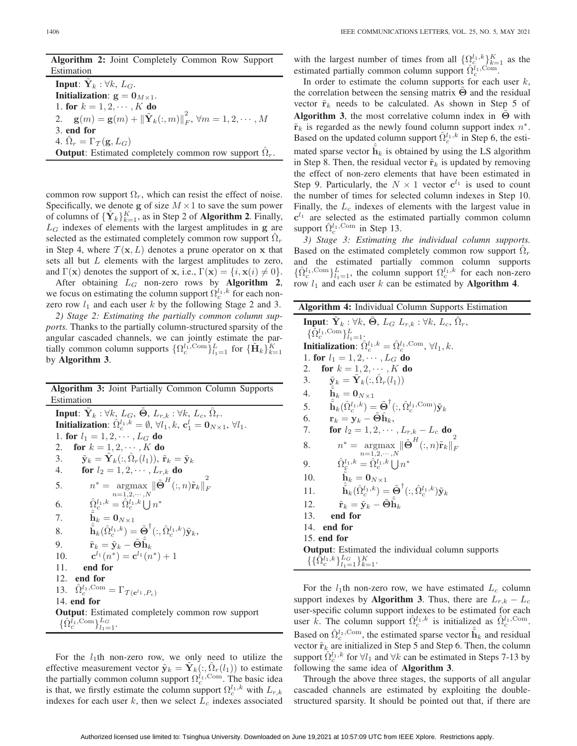4.  $\Omega_r = \Gamma_{\mathcal{T}}(\mathbf{g}, L_G)$ 

| <b>Algorithm 2:</b> Joint Completely Common Row Support                                                 |
|---------------------------------------------------------------------------------------------------------|
| Estimation                                                                                              |
| <b>Input:</b> $Y_k$ : $\forall k$ , $L_G$ .                                                             |
| Initialization: $g = 0_{M \times 1}$ .                                                                  |
| 1. for $k = 1, 2, \cdots, K$ do                                                                         |
| 2. $\mathbf{g}(m) = \mathbf{g}(m) + {\ \tilde{\mathbf{Y}}_k(:,m)\ }_{F}^2, \forall m = 1, 2, \cdots, M$ |
| 3. end for                                                                                              |

**Output**: Estimated completely common row support  $\Omega_r$ .

common row support  $\Omega_r$ , which can resist the effect of noise. Specifically, we denote **g** of size  $M \times 1$  to save the sum power of columns of  ${\{\tilde{\mathbf{Y}}_k\}}_{k=1}^K$ , as in Step 2 of **Algorithm 2**. Finally,<br>*L<sub>C</sub>* indexes of elements with the largest amplitudes in  $\sigma$  are  $L_G$  indexes of elements with the largest amplitudes in  $g$  are selected as the estimated completely common row support  $\Omega_r$ in Step 4, where  $T(\mathbf{x}, L)$  denotes a prune operator on **x** that sets all but L elements with the largest amplitudes to zero,

and  $\Gamma(\mathbf{x})$  denotes the support of **x**, i.e.,  $\Gamma(\mathbf{x}) = \{i, \mathbf{x}(i) \neq 0\}$ .<br>After obtaining L<sub>C</sub> non-zero, rows by **Algorithm** 2. After obtaining  $L_G$  non-zero rows by **Algorithm 2**, we focus on estimating the column support  $\Omega_c^{l_1,k}$  for each nonzero row  $l_1$  and each user  $k$  by the following Stage 2 and 3.

*2) Stage 2: Estimating the partially common column supports.* Thanks to the partially column-structured sparsity of the angular cascaded channels, we can jointly estimate the partially common column supports  $\{ \Omega_c^{l_1, \text{Com}} \}_{l_1=1}^L$  for  $\{ \tilde{\mathbf{H}}_k \}_{k=1}^K$ by **Algorithm 3**.

**Algorithm 3:** Joint Partially Common Column Supports Estimation

**Input**:  $\mathbf{\tilde{Y}}_k$  :  $\forall k$ ,  $L_G$ ,  $\mathbf{\Theta}$ ,  $L_{r,k}$  :  $\forall k$ ,  $L_c$ ,  $\hat{\Omega}_r$ . **Initialization**:  $\hat{\Omega}_c^{l_1,k} = \emptyset$ ,  $\forall l_1, k$ ,  $\mathbf{c}_1^l = \mathbf{0}_{N \times 1}$ ,  $\forall l_1$ .<br>
1 for  $l_1 = 1, 2, \ldots, l_n$  do. 1. **for**  $l_1 = 1, 2, \cdots, L_G$  **do** 2. **for**  $k = 1, 2, \cdots, K$  **do** 3.  $\tilde{\mathbf{y}}_k = \tilde{\mathbf{Y}}_k(:, \hat{\Omega}_r(l_1)), \tilde{\mathbf{r}}_k = \tilde{\mathbf{y}}_k$ <br>4. **for**  $l_2 = 1, 2, \cdots, L_{r,k}$  **do for**  $l_2 = 1, 2, \cdots, L_{r,k}$  **do** 5.  $n^* = \operatorname*{argmax}_{n=1,2,\cdots,N} \|\tilde{\Theta}^H(:,n)\tilde{\mathbf{r}}_k\|$ 2 F 6.  $\hat{\Omega}_c^{l_1,k} = \hat{\Omega}_c^{l_1,k} \bigcup n^*$ 7. **h**<br> $\hat{i}$  $\tilde{\mathbf{h}}_k = \mathbf{0}_{N\times 1}$ 8.  $\hat{\mathbf{h}}_k(\hat{\Omega}_c^{l_1,k}) = \tilde{\mathbf{\Theta}}^{\dagger}(:,\hat{\Omega}_c^{l_1,k}) \tilde{\mathbf{y}}_k,$ 9.  $\tilde{\mathbf{r}}_k = \tilde{\mathbf{y}}_k - \tilde{\mathbf{\Theta}} \hat{\mathbf{h}}_k$ <br>
10  $\mathbf{c}^{l_1}(n^*) = \mathbf{c}^{l_1}(n)$ 10. **c**<sup>l<sub>1</sub></sup> $(n^*)$  = **c**<sup>l<sub>1</sub></sup> $(n^*)$  + 1<br>11 **end for** 11. **end for** 12. **end for** 13.  $\hat{\Omega}_c^{l_1, \text{Com}} = \Gamma_{\mathcal{T}(\mathbf{c}^{l_1}, P_c)}$ 14. **end for Output**: Estimated completely common row support

 $\{\hat{\Omega}_{c}^{\overline{l}_{1},\mathrm{Com}}\}_{l_{1}=1}^{L_{G}}$ .

For the  $l_1$ th non-zero row, we only need to utilize the effective measurement vector  $\tilde{\mathbf{y}}_k = \mathbf{Y}_k(:, \Omega_r(l_1))$  to estimate the partially common column support  $\Omega_c^{l_1, \text{Com}}$ . The basic idea is that, we firstly estimate the column support  $\Omega_c^{l_1,k}$  with  $L_{r,k}$ indexes for each user  $k$ , then we select  $L_c$  indexes associated

with the largest number of times from all  $\{ \Omega_{c}^{l_1,k} \}_{k=1}^{K}$  as the estimated partially common column support  $\hat{\Omega}_{c}^{l_1,\text{Com}}$ 

In order to estimate the column supports for each user  $k$ , the correlation between the sensing matrix **Θ** and the residual vector  $\tilde{\mathbf{r}}_k$  needs to be calculated. As shown in Step 5 of **Algorithm 3**, the most correlative column index in  $\Theta$  with  $\tilde{\mathbf{r}}_k$  is regarded as the newly found column support index  $n^*$ . Based on the updated column support  $\hat{\Omega}_c^{l_1,k}$  in Step 6, the estimated sparse vector  $\hat{h}_k$  is obtained by using the LS algorithm<br>in Step 8. Then, the residual vector  $\hat{r}_k$  is undated by removing in Step 8. Then, the residual vector  $\tilde{\mathbf{r}}_k$  is updated by removing the effect of non-zero elements that have been estimated in Step 9. Particularly, the  $N \times 1$  vector  $c^{l_1}$  is used to count the number of times for selected column indexes in Step 10. Finally, the  $L_c$  indexes of elements with the largest value in  $c^{l_1}$  are selected as the estimated partially common column support  $\hat{\Omega}_c^{l_1, \text{Com}}$  in Step 13.

*3) Stage 3: Estimating the individual column supports.* Based on the estimated completely common row support  $\Omega_r$ and the estimated partially common column supports  $\{\hat{\Omega}_{c}^{l_1,\text{Com}}\}_{l_1=1}^L$ , the column support  $\Omega_{c}^{l_1,k}$  for each non-zero row  $l_1$  and each user  $k$  can be estimated by **Algorithm 4**.

| <b>Algorithm 4:</b> Individual Column Supports Estimation                                                                                                                                |  |  |  |  |
|------------------------------------------------------------------------------------------------------------------------------------------------------------------------------------------|--|--|--|--|
| <b>Input:</b> $\tilde{\mathbf{Y}}_k$ : $\forall k$ , $\tilde{\mathbf{\Theta}}, L_G L_{r,k}$ : $\forall k, L_c, \hat{\Omega}_r$ ,<br>$\{\bar{\Omega}_{c}^{l_1, \text{Com}}\}_{l_1=1}^L$ . |  |  |  |  |
| <b>Initialization:</b> $\hat{\Omega}_c^{l_1,k} = \hat{\Omega}_c^{l_1,\text{Com}}, \forall l_1,k.$                                                                                        |  |  |  |  |
| 1. for $l_1 = 1, 2, \cdots, L_G$ do                                                                                                                                                      |  |  |  |  |
| for $k = 1, 2, \dots, K$ do<br>2.                                                                                                                                                        |  |  |  |  |
| $\tilde{\mathbf{y}}_k = \mathbf{Y}_k(:, \Omega_r(l_1))$<br>3.                                                                                                                            |  |  |  |  |
| 4.<br>$\mathbf{h}_k = \mathbf{0}_{N \times 1}$                                                                                                                                           |  |  |  |  |
| 5. $\hat{\mathbf{h}}_k(\hat{\Omega}_{\cdot}^{l_1,k}) = \tilde{\mathbf{\Theta}}^{\dagger}(:,\hat{\Omega}_{\cdot}^{l_1,\text{Com}})\tilde{\mathbf{v}}_k$                                   |  |  |  |  |
| 6. $\mathbf{r}_k = \mathbf{y}_k - \mathbf{\Theta} \mathbf{h}_k$                                                                                                                          |  |  |  |  |
| 7.<br><b>for</b> $l_2 = 1, 2, \cdots, L_{r,k} - L_c$ <b>do</b>                                                                                                                           |  |  |  |  |
| $n^* = \operatorname{argmax} \left\  \tilde{\boldsymbol{\Theta}}^H(:,n) \tilde{\mathbf{r}}_k \right\ _F^2$<br>8.<br>$n = 1, 2, \cdots, N$                                                |  |  |  |  |
| $\hat{\Omega}_\mathcal{L}^{l_1,k} = \hat{\Omega}_c^{l_1,k}\bigcup n^*$<br>9.                                                                                                             |  |  |  |  |
| $\mathbf{h}_k = \mathbf{0}_{N \times 1}$<br>10.                                                                                                                                          |  |  |  |  |
| $\tilde{\mathbf{h}}_k(\hat{\Omega}_{c}^{l_1,k}) = \tilde{\mathbf{\Theta}}^{\dagger}(:,\hat{\Omega}_{c}^{l_1,k})\tilde{\mathbf{y}}_k$<br>11.                                              |  |  |  |  |
| $\tilde{\textbf{r}}_k = \tilde{\textbf{y}}_k - \tilde{\boldsymbol{\Theta}} \tilde{\textbf{h}}_k$<br>12.                                                                                  |  |  |  |  |
| 13.<br>end for                                                                                                                                                                           |  |  |  |  |
| 14.<br>end for                                                                                                                                                                           |  |  |  |  |
| 15. end for                                                                                                                                                                              |  |  |  |  |
| <b>Output:</b> Estimated the individual column supports                                                                                                                                  |  |  |  |  |
| $\{\{\hat{\Omega}_{c}^{l_1,k}\}_{l_1=1}^{L_G}\}_{k=1}^K$ .                                                                                                                               |  |  |  |  |

For the  $l_1$ th non-zero row, we have estimated  $L_c$  column support indexes by **Algorithm 3**. Thus, there are  $L_{r,k} - L_c$ user-specific column support indexes to be estimated for each user k. The column support  $\hat{\Omega}_c^{l_1,k}$  is initialized as  $\hat{\Omega}_c^{l_1,\text{Com}}$ . Based on  $\hat{\Omega}_c^{l_1, \text{Com}}$ , the estimated sparse vector  $\hat{\tilde{\mathbf{h}}}_k$  and residual vector  $\hat{\mathbf{r}}_i$  are initialized in Step 5 and Step 6. Then, the column vector  $\tilde{\mathbf{r}}_k$  are initialized in Step 5 and Step 6. Then, the column support  $\hat{\Omega}_c^{l_1,k}$  for  $\forall l_1$  and  $\forall k$  can be estimated in Steps 7-13 by following the same idea of **Algorithm 3**.

Through the above three stages, the supports of all angular cascaded channels are estimated by exploiting the doublestructured sparsity. It should be pointed out that, if there are